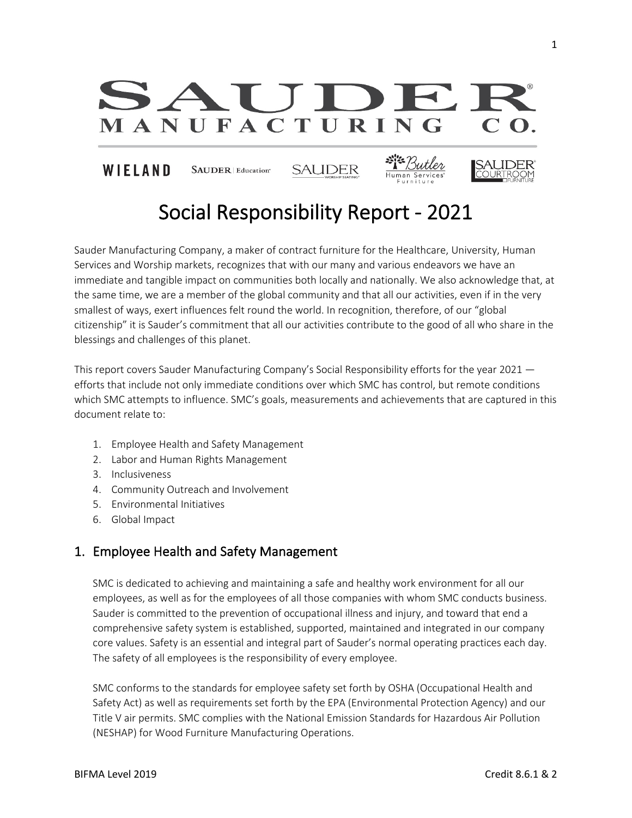

# Social Responsibility Report - 2021

Sauder Manufacturing Company, a maker of contract furniture for the Healthcare, University, Human Services and Worship markets, recognizes that with our many and various endeavors we have an immediate and tangible impact on communities both locally and nationally. We also acknowledge that, at the same time, we are a member of the global community and that all our activities, even if in the very smallest of ways, exert influences felt round the world. In recognition, therefore, of our "global citizenship" it is Sauder's commitment that all our activities contribute to the good of all who share in the blessings and challenges of this planet.

This report covers Sauder Manufacturing Company's Social Responsibility efforts for the year 2021 efforts that include not only immediate conditions over which SMC has control, but remote conditions which SMC attempts to influence. SMC's goals, measurements and achievements that are captured in this document relate to:

- 1. Employee Health and Safety Management
- 2. Labor and Human Rights Management
- 3. Inclusiveness
- 4. Community Outreach and Involvement
- 5. Environmental Initiatives
- 6. Global Impact

## 1. Employee Health and Safety Management

SMC is dedicated to achieving and maintaining a safe and healthy work environment for all our employees, as well as for the employees of all those companies with whom SMC conducts business. Sauder is committed to the prevention of occupational illness and injury, and toward that end a comprehensive safety system is established, supported, maintained and integrated in our company core values. Safety is an essential and integral part of Sauder's normal operating practices each day. The safety of all employees is the responsibility of every employee.

SMC conforms to the standards for employee safety set forth by OSHA (Occupational Health and Safety Act) as well as requirements set forth by the EPA (Environmental Protection Agency) and our Title V air permits. SMC complies with the National Emission Standards for Hazardous Air Pollution (NESHAP) for Wood Furniture Manufacturing Operations.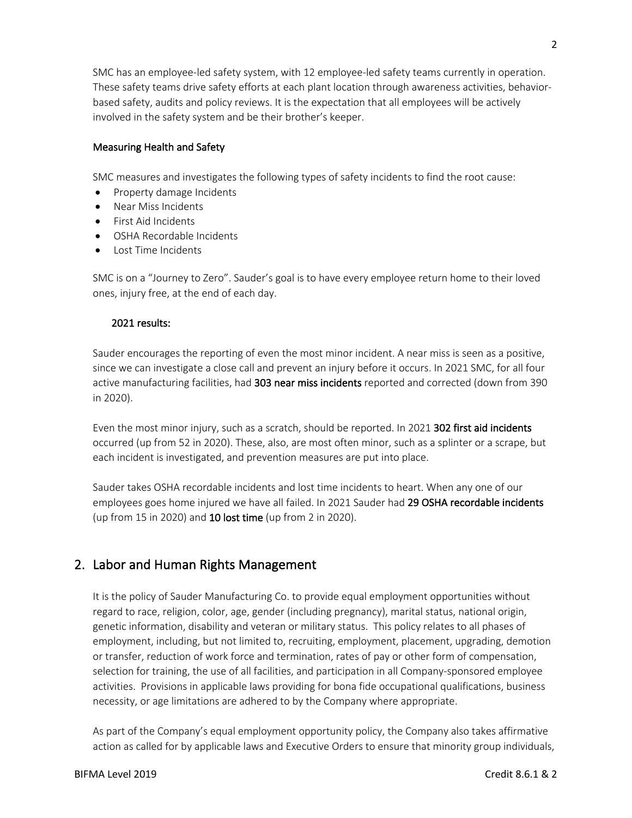SMC has an employee-led safety system, with 12 employee-led safety teams currently in operation. These safety teams drive safety efforts at each plant location through awareness activities, behaviorbased safety, audits and policy reviews. It is the expectation that all employees will be actively involved in the safety system and be their brother's keeper.

#### Measuring Health and Safety

SMC measures and investigates the following types of safety incidents to find the root cause:

- Property damage Incidents
- Near Miss Incidents
- First Aid Incidents
- OSHA Recordable Incidents
- Lost Time Incidents

SMC is on a "Journey to Zero". Sauder's goal is to have every employee return home to their loved ones, injury free, at the end of each day.

#### 2021 results:

Sauder encourages the reporting of even the most minor incident. A near miss is seen as a positive, since we can investigate a close call and prevent an injury before it occurs. In 2021 SMC, for all four active manufacturing facilities, had 303 near miss incidents reported and corrected (down from 390 in 2020).

Even the most minor injury, such as a scratch, should be reported. In 2021 302 first aid incidents occurred (up from 52 in 2020). These, also, are most often minor, such as a splinter or a scrape, but each incident is investigated, and prevention measures are put into place.

Sauder takes OSHA recordable incidents and lost time incidents to heart. When any one of our employees goes home injured we have all failed. In 2021 Sauder had 29 OSHA recordable incidents (up from 15 in 2020) and 10 lost time (up from 2 in 2020).

# 2. Labor and Human Rights Management

It is the policy of Sauder Manufacturing Co. to provide equal employment opportunities without regard to race, religion, color, age, gender (including pregnancy), marital status, national origin, genetic information, disability and veteran or military status. This policy relates to all phases of employment, including, but not limited to, recruiting, employment, placement, upgrading, demotion or transfer, reduction of work force and termination, rates of pay or other form of compensation, selection for training, the use of all facilities, and participation in all Company-sponsored employee activities. Provisions in applicable laws providing for bona fide occupational qualifications, business necessity, or age limitations are adhered to by the Company where appropriate.

As part of the Company's equal employment opportunity policy, the Company also takes affirmative action as called for by applicable laws and Executive Orders to ensure that minority group individuals,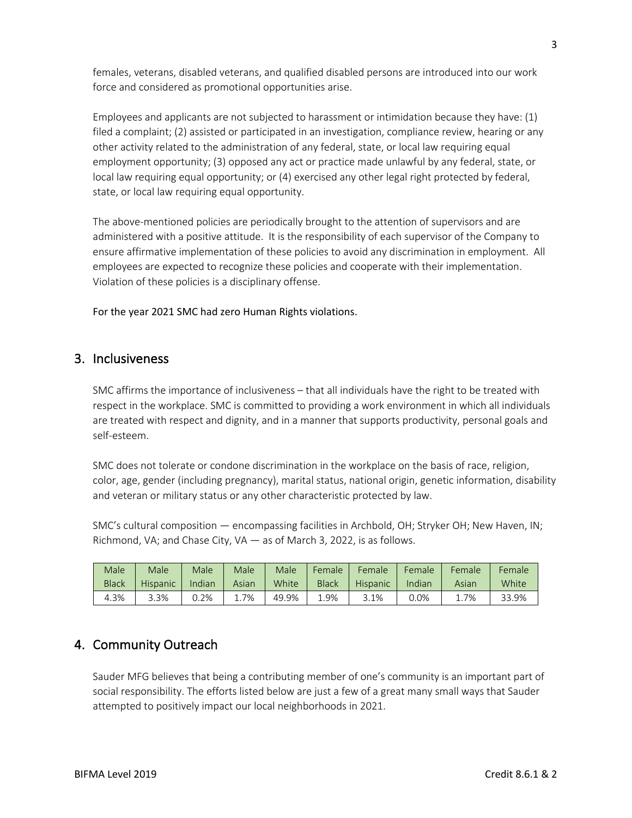females, veterans, disabled veterans, and qualified disabled persons are introduced into our work force and considered as promotional opportunities arise.

Employees and applicants are not subjected to harassment or intimidation because they have: (1) filed a complaint; (2) assisted or participated in an investigation, compliance review, hearing or any other activity related to the administration of any federal, state, or local law requiring equal employment opportunity; (3) opposed any act or practice made unlawful by any federal, state, or local law requiring equal opportunity; or (4) exercised any other legal right protected by federal, state, or local law requiring equal opportunity.

The above-mentioned policies are periodically brought to the attention of supervisors and are administered with a positive attitude. It is the responsibility of each supervisor of the Company to ensure affirmative implementation of these policies to avoid any discrimination in employment. All employees are expected to recognize these policies and cooperate with their implementation. Violation of these policies is a disciplinary offense.

For the year 2021 SMC had zero Human Rights violations.

## 3. Inclusiveness

SMC affirms the importance of inclusiveness – that all individuals have the right to be treated with respect in the workplace. SMC is committed to providing a work environment in which all individuals are treated with respect and dignity, and in a manner that supports productivity, personal goals and self-esteem.

SMC does not tolerate or condone discrimination in the workplace on the basis of race, religion, color, age, gender (including pregnancy), marital status, national origin, genetic information, disability and veteran or military status or any other characteristic protected by law.

SMC's cultural composition — encompassing facilities in Archbold, OH; Stryker OH; New Haven, IN; Richmond, VA; and Chase City, VA — as of March 3, 2022, is as follows.

| Male         | Male     | Male   | Male  | Male  | Female       | Female   | Female | Female | Female |
|--------------|----------|--------|-------|-------|--------------|----------|--------|--------|--------|
| <b>Black</b> | Hispanic | Indian | Asian | White | <b>Black</b> | Hispanic | Indian | Asian  | White  |
| 4.3%         | 3.3%     | 0.2%   | 7%    | 49.9% | 1.9%         | 3.1%     | 0.0%   | 1.7%   | 33.9%  |

# 4. Community Outreach

Sauder MFG believes that being a contributing member of one's community is an important part of social responsibility. The efforts listed below are just a few of a great many small ways that Sauder attempted to positively impact our local neighborhoods in 2021.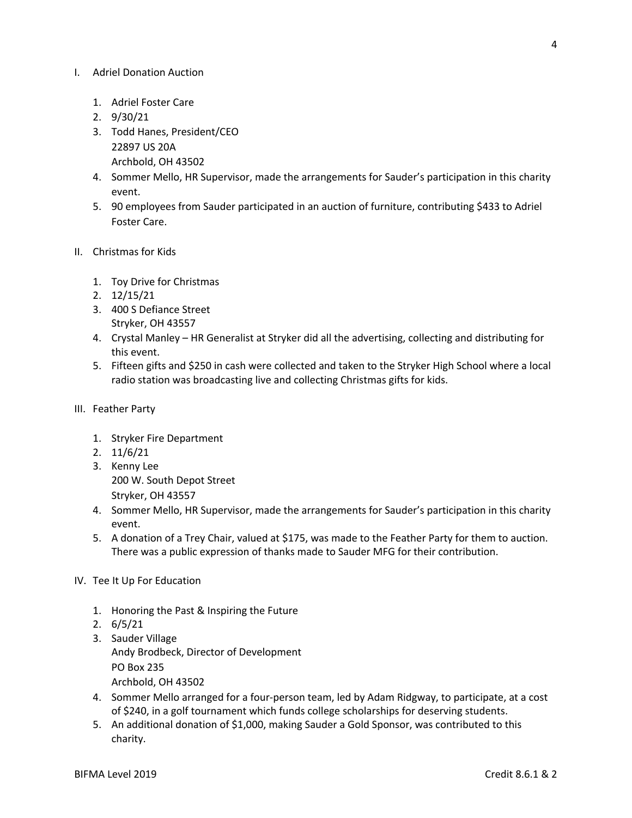#### I. Adriel Donation Auction

- 1. Adriel Foster Care
- 2. 9/30/21
- 3. Todd Hanes, President/CEO 22897 US 20A Archbold, OH 43502
- 4. Sommer Mello, HR Supervisor, made the arrangements for Sauder's participation in this charity event.
- 5. 90 employees from Sauder participated in an auction of furniture, contributing \$433 to Adriel Foster Care.
- II. Christmas for Kids
	- 1. Toy Drive for Christmas
	- 2. 12/15/21
	- 3. 400 S Defiance Street Stryker, OH 43557
	- 4. Crystal Manley HR Generalist at Stryker did all the advertising, collecting and distributing for this event.
	- 5. Fifteen gifts and \$250 in cash were collected and taken to the Stryker High School where a local radio station was broadcasting live and collecting Christmas gifts for kids.
- III. Feather Party
	- 1. Stryker Fire Department
	- 2. 11/6/21
	- 3. Kenny Lee 200 W. South Depot Street Stryker, OH 43557
	- 4. Sommer Mello, HR Supervisor, made the arrangements for Sauder's participation in this charity event.
	- 5. A donation of a Trey Chair, valued at \$175, was made to the Feather Party for them to auction. There was a public expression of thanks made to Sauder MFG for their contribution.
- IV. Tee It Up For Education
	- 1. Honoring the Past & Inspiring the Future
	- 2. 6/5/21
	- 3. Sauder Village Andy Brodbeck, Director of Development PO Box 235 Archbold, OH 43502
	- 4. Sommer Mello arranged for a four-person team, led by Adam Ridgway, to participate, at a cost of \$240, in a golf tournament which funds college scholarships for deserving students.
	- 5. An additional donation of \$1,000, making Sauder a Gold Sponsor, was contributed to this charity.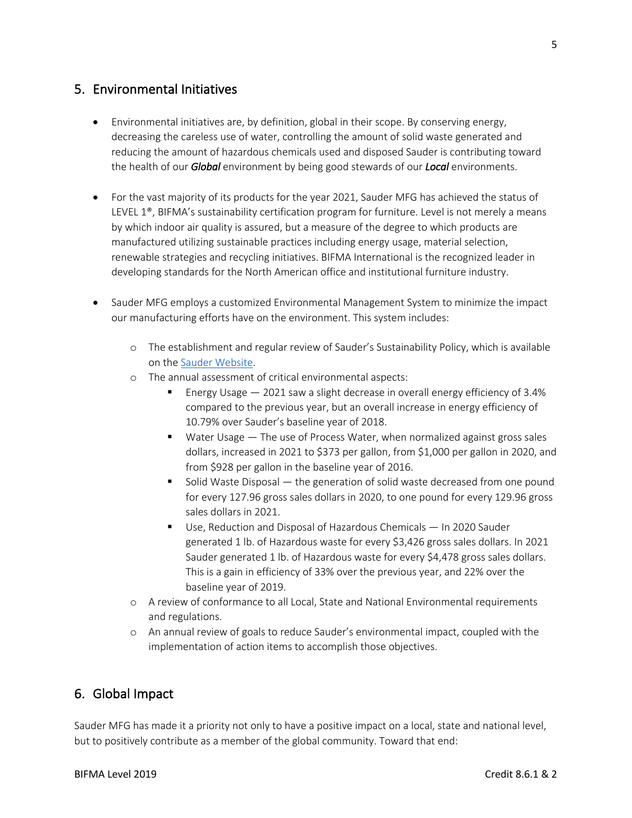## 5. Environmental Initiatives

- Environmental initiatives are, by definition, global in their scope. By conserving energy, decreasing the careless use of water, controlling the amount of solid waste generated and reducing the amount of hazardous chemicals used and disposed Sauder is contributing toward the health of our *Global* environment by being good stewards of our *Local* environments.
- For the vast majority of its products for the year 2021, Sauder MFG has achieved the status of LEVEL 1®, BIFMA's sustainability certification program for furniture. Level is not merely a means by which indoor air quality is assured, but a measure of the degree to which products are manufactured utilizing sustainable practices including energy usage, material selection, renewable strategies and recycling initiatives. BIFMA International is the recognized leader in developing standards for the North American office and institutional furniture industry.
- Sauder MFG employs a customized Environmental Management System to minimize the impact our manufacturing efforts have on the environment. This system includes:
	- o The establishment and regular review of Sauder's Sustainability Policy, which is available on the Sauder Website.
	- o The annual assessment of critical environmental aspects:
		- § Energy Usage 2021 saw a slight decrease in overall energy efficiency of 3.4% compared to the previous year, but an overall increase in energy efficiency of 10.79% over Sauder's baseline year of 2018.
		- Water Usage The use of Process Water, when normalized against gross sales dollars, increased in 2021 to \$373 per gallon, from \$1,000 per gallon in 2020, and from \$928 per gallon in the baseline year of 2016.
		- § Solid Waste Disposal the generation of solid waste decreased from one pound for every 127.96 gross sales dollars in 2020, to one pound for every 129.96 gross sales dollars in 2021.
		- Use, Reduction and Disposal of Hazardous Chemicals In 2020 Sauder generated 1 lb. of Hazardous waste for every \$3,426 gross sales dollars. In 2021 Sauder generated 1 lb. of Hazardous waste for every \$4,478 gross sales dollars. This is a gain in efficiency of 33% over the previous year, and 22% over the baseline year of 2019.
	- o A review of conformance to all Local, State and National Environmental requirements and regulations.
	- o An annual review of goals to reduce Sauder's environmental impact, coupled with the implementation of action items to accomplish those objectives.

# 6. Global Impact

Sauder MFG has made it a priority not only to have a positive impact on a local, state and national level, but to positively contribute as a member of the global community. Toward that end: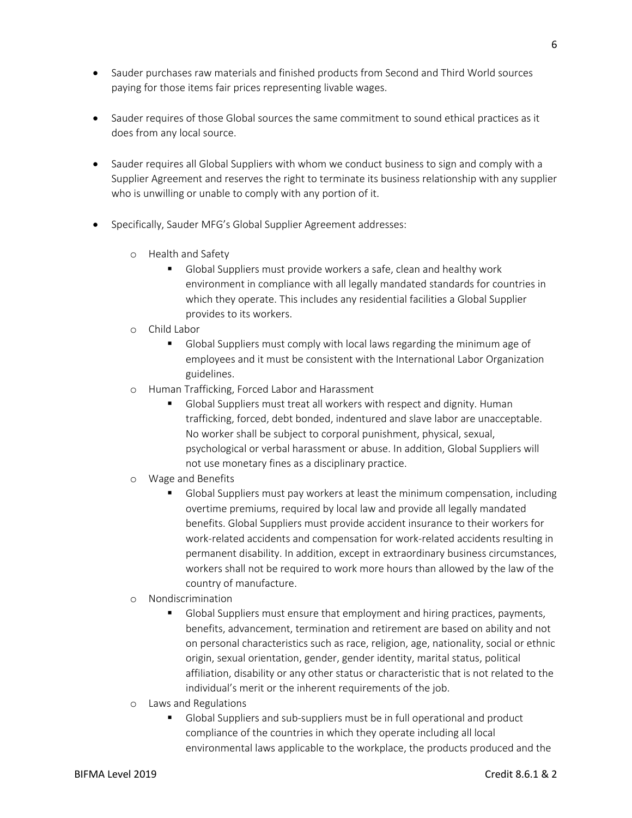- Sauder purchases raw materials and finished products from Second and Third World sources paying for those items fair prices representing livable wages.
- Sauder requires of those Global sources the same commitment to sound ethical practices as it does from any local source.
- Sauder requires all Global Suppliers with whom we conduct business to sign and comply with a Supplier Agreement and reserves the right to terminate its business relationship with any supplier who is unwilling or unable to comply with any portion of it.
- Specifically, Sauder MFG's Global Supplier Agreement addresses:
	- o Health and Safety
		- § Global Suppliers must provide workers a safe, clean and healthy work environment in compliance with all legally mandated standards for countries in which they operate. This includes any residential facilities a Global Supplier provides to its workers.
	- o Child Labor
		- § Global Suppliers must comply with local laws regarding the minimum age of employees and it must be consistent with the International Labor Organization guidelines.
	- o Human Trafficking, Forced Labor and Harassment
		- § Global Suppliers must treat all workers with respect and dignity. Human trafficking, forced, debt bonded, indentured and slave labor are unacceptable. No worker shall be subject to corporal punishment, physical, sexual, psychological or verbal harassment or abuse. In addition, Global Suppliers will not use monetary fines as a disciplinary practice.
	- o Wage and Benefits
		- § Global Suppliers must pay workers at least the minimum compensation, including overtime premiums, required by local law and provide all legally mandated benefits. Global Suppliers must provide accident insurance to their workers for work-related accidents and compensation for work-related accidents resulting in permanent disability. In addition, except in extraordinary business circumstances, workers shall not be required to work more hours than allowed by the law of the country of manufacture.
	- o Nondiscrimination
		- § Global Suppliers must ensure that employment and hiring practices, payments, benefits, advancement, termination and retirement are based on ability and not on personal characteristics such as race, religion, age, nationality, social or ethnic origin, sexual orientation, gender, gender identity, marital status, political affiliation, disability or any other status or characteristic that is not related to the individual's merit or the inherent requirements of the job.
	- o Laws and Regulations
		- § Global Suppliers and sub-suppliers must be in full operational and product compliance of the countries in which they operate including all local environmental laws applicable to the workplace, the products produced and the